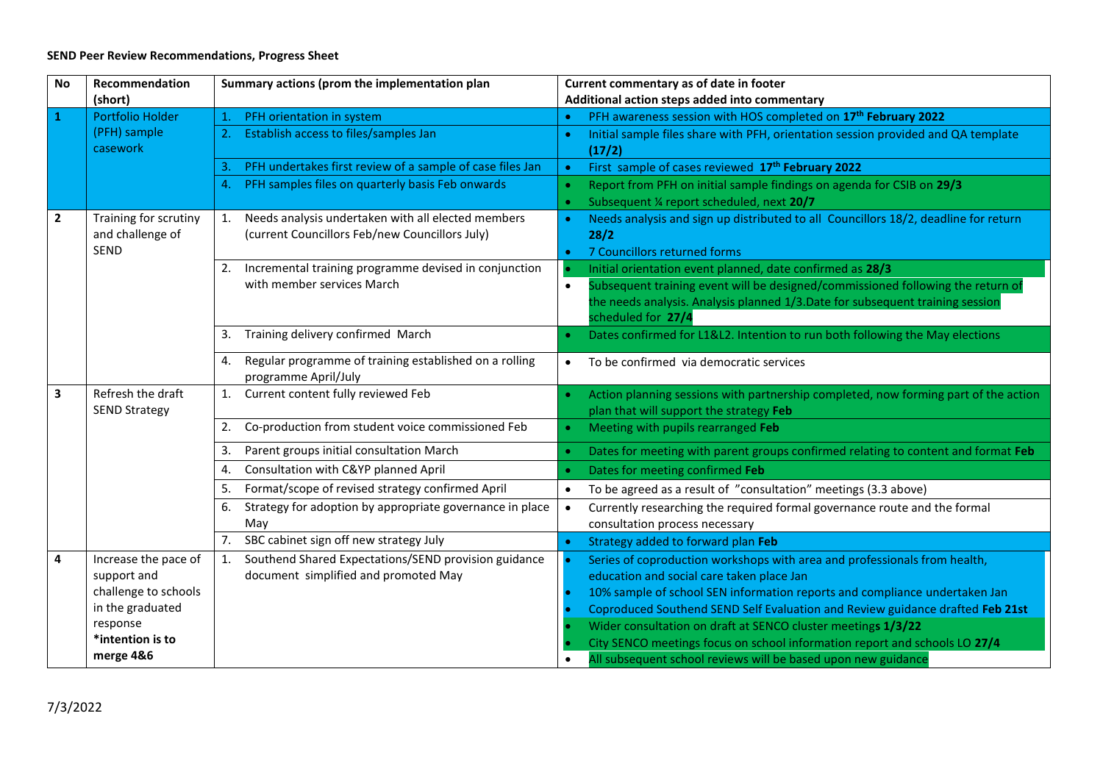## **SEND Peer Review Recommendations, Progress Sheet**

| No             | Recommendation                            | Summary actions (prom the implementation plan                                        | Current commentary as of date in footer                                                                                         |  |  |
|----------------|-------------------------------------------|--------------------------------------------------------------------------------------|---------------------------------------------------------------------------------------------------------------------------------|--|--|
|                | (short)                                   |                                                                                      | Additional action steps added into commentary                                                                                   |  |  |
| 1              | Portfolio Holder                          | PFH orientation in system<br>$\mathbf{1}$ .                                          | PFH awareness session with HOS completed on 17 <sup>th</sup> February 2022                                                      |  |  |
|                | (PFH) sample<br>casework                  | Establish access to files/samples Jan                                                | Initial sample files share with PFH, orientation session provided and QA template<br><b>C</b><br>(17/2)                         |  |  |
|                |                                           | PFH undertakes first review of a sample of case files Jan<br>3.                      | First sample of cases reviewed 17 <sup>th</sup> February 2022<br>$\bullet$                                                      |  |  |
|                |                                           | PFH samples files on quarterly basis Feb onwards<br>4.                               | Report from PFH on initial sample findings on agenda for CSIB on 29/3<br>Subsequent 1/4 report scheduled, next 20/7<br><b>C</b> |  |  |
| $\overline{2}$ | Training for scrutiny                     | Needs analysis undertaken with all elected members<br>1.                             | Needs analysis and sign up distributed to all Councillors 18/2, deadline for return                                             |  |  |
|                | and challenge of                          | (current Councillors Feb/new Councillors July)                                       | 28/2                                                                                                                            |  |  |
|                | SEND                                      |                                                                                      | 7 Councillors returned forms                                                                                                    |  |  |
|                |                                           | Incremental training programme devised in conjunction<br>2.                          | Initial orientation event planned, date confirmed as 28/3                                                                       |  |  |
|                |                                           | with member services March                                                           | Subsequent training event will be designed/commissioned following the return of<br>$\bullet$                                    |  |  |
|                |                                           |                                                                                      | the needs analysis. Analysis planned 1/3.Date for subsequent training session                                                   |  |  |
|                |                                           |                                                                                      | scheduled for 27/4                                                                                                              |  |  |
|                |                                           | Training delivery confirmed March<br>3.                                              | Dates confirmed for L1&L2. Intention to run both following the May elections                                                    |  |  |
|                |                                           | Regular programme of training established on a rolling<br>4.<br>programme April/July | To be confirmed via democratic services                                                                                         |  |  |
| $\mathbf{3}$   | Refresh the draft<br><b>SEND Strategy</b> | Current content fully reviewed Feb<br>1.                                             | Action planning sessions with partnership completed, now forming part of the action<br>plan that will support the strategy Feb  |  |  |
|                |                                           | Co-production from student voice commissioned Feb<br>2.                              | Meeting with pupils rearranged Feb<br>$\bullet$                                                                                 |  |  |
|                |                                           | Parent groups initial consultation March<br>3.                                       | Dates for meeting with parent groups confirmed relating to content and format Feb                                               |  |  |
|                |                                           | Consultation with C&YP planned April<br>4.                                           | Dates for meeting confirmed Feb                                                                                                 |  |  |
|                |                                           | Format/scope of revised strategy confirmed April<br>5.                               | To be agreed as a result of "consultation" meetings (3.3 above)                                                                 |  |  |
|                |                                           | Strategy for adoption by appropriate governance in place<br>6.                       | Currently researching the required formal governance route and the formal<br>$\bullet$                                          |  |  |
|                |                                           | May                                                                                  | consultation process necessary                                                                                                  |  |  |
|                |                                           | SBC cabinet sign off new strategy July<br>7.                                         | Strategy added to forward plan Feb                                                                                              |  |  |
| 4              | Increase the pace of                      | Southend Shared Expectations/SEND provision guidance<br>1.                           | Series of coproduction workshops with area and professionals from health,                                                       |  |  |
|                | support and                               | document simplified and promoted May                                                 | education and social care taken place Jan                                                                                       |  |  |
|                | challenge to schools                      |                                                                                      | 10% sample of school SEN information reports and compliance undertaken Jan                                                      |  |  |
|                | in the graduated                          |                                                                                      | Coproduced Southend SEND Self Evaluation and Review guidance drafted Feb 21st                                                   |  |  |
|                | response                                  |                                                                                      | Wider consultation on draft at SENCO cluster meetings 1/3/22                                                                    |  |  |
|                | *intention is to                          |                                                                                      | City SENCO meetings focus on school information report and schools LO 27/4                                                      |  |  |
|                | merge 4&6                                 |                                                                                      | All subsequent school reviews will be based upon new guidance                                                                   |  |  |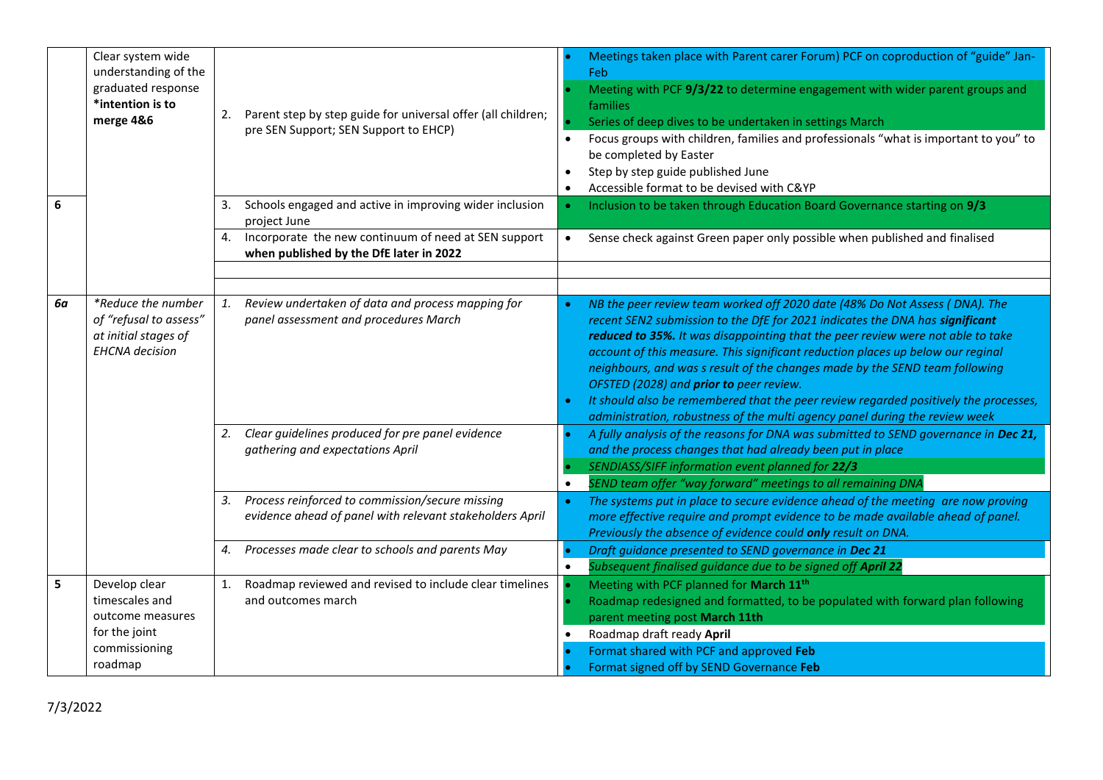|    | Clear system wide<br>understanding of the<br>graduated response<br>*intention is to<br>merge 4&6 | 2.                   | Parent step by step guide for universal offer (all children;<br>pre SEN Support; SEN Support to EHCP)                                                                              | Meetings taken place with Parent carer Forum) PCF on coproduction of "guide" Jan-<br>Feb<br>Meeting with PCF 9/3/22 to determine engagement with wider parent groups and<br>families<br>Series of deep dives to be undertaken in settings March<br>Focus groups with children, families and professionals "what is important to you" to<br>$\bullet$<br>be completed by Easter<br>Step by step guide published June<br>Accessible format to be devised with C&YP                                                                                                                                                                                                                                                                                                                                                                                                                                                       |
|----|--------------------------------------------------------------------------------------------------|----------------------|------------------------------------------------------------------------------------------------------------------------------------------------------------------------------------|------------------------------------------------------------------------------------------------------------------------------------------------------------------------------------------------------------------------------------------------------------------------------------------------------------------------------------------------------------------------------------------------------------------------------------------------------------------------------------------------------------------------------------------------------------------------------------------------------------------------------------------------------------------------------------------------------------------------------------------------------------------------------------------------------------------------------------------------------------------------------------------------------------------------|
| 6  |                                                                                                  | 3.                   | Schools engaged and active in improving wider inclusion<br>project June                                                                                                            | Inclusion to be taken through Education Board Governance starting on 9/3                                                                                                                                                                                                                                                                                                                                                                                                                                                                                                                                                                                                                                                                                                                                                                                                                                               |
|    |                                                                                                  | 4.                   | Incorporate the new continuum of need at SEN support<br>when published by the DfE later in 2022                                                                                    | Sense check against Green paper only possible when published and finalised<br>$\bullet$                                                                                                                                                                                                                                                                                                                                                                                                                                                                                                                                                                                                                                                                                                                                                                                                                                |
| 6а | *Reduce the number<br>of "refusal to assess"<br>at initial stages of<br><b>EHCNA</b> decision    | $\mathbf{1}$ .<br>2. | Review undertaken of data and process mapping for<br>panel assessment and procedures March<br>Clear guidelines produced for pre panel evidence<br>gathering and expectations April | NB the peer review team worked off 2020 date (48% Do Not Assess (DNA). The<br>recent SEN2 submission to the DfE for 2021 indicates the DNA has significant<br>reduced to 35%. It was disappointing that the peer review were not able to take<br>account of this measure. This significant reduction places up below our reginal<br>neighbours, and was s result of the changes made by the SEND team following<br>OFSTED (2028) and prior to peer review.<br>It should also be remembered that the peer review regarded positively the processes,<br>administration, robustness of the multi agency panel during the review week<br>A fully analysis of the reasons for DNA was submitted to SEND governance in Dec 21,<br>and the process changes that had already been put in place<br>SENDIASS/SIFF information event planned for 22/3<br>SEND team offer "way forward" meetings to all remaining DNA<br>$\bullet$ |
|    |                                                                                                  | 3.                   | Process reinforced to commission/secure missing<br>evidence ahead of panel with relevant stakeholders April                                                                        | The systems put in place to secure evidence ahead of the meeting are now proving<br>more effective require and prompt evidence to be made available ahead of panel.<br>Previously the absence of evidence could only result on DNA.                                                                                                                                                                                                                                                                                                                                                                                                                                                                                                                                                                                                                                                                                    |
|    |                                                                                                  | 4.                   | Processes made clear to schools and parents May                                                                                                                                    | Draft guidance presented to SEND governance in Dec 21<br>Subsequent finalised guidance due to be signed off April 22                                                                                                                                                                                                                                                                                                                                                                                                                                                                                                                                                                                                                                                                                                                                                                                                   |
| 5  | Develop clear<br>timescales and<br>outcome measures<br>for the joint<br>commissioning<br>roadmap | 1.                   | Roadmap reviewed and revised to include clear timelines<br>and outcomes march                                                                                                      | Meeting with PCF planned for March 11 <sup>th</sup><br>Roadmap redesigned and formatted, to be populated with forward plan following<br>parent meeting post March 11th<br>Roadmap draft ready April<br>Format shared with PCF and approved Feb<br>Format signed off by SEND Governance Feb                                                                                                                                                                                                                                                                                                                                                                                                                                                                                                                                                                                                                             |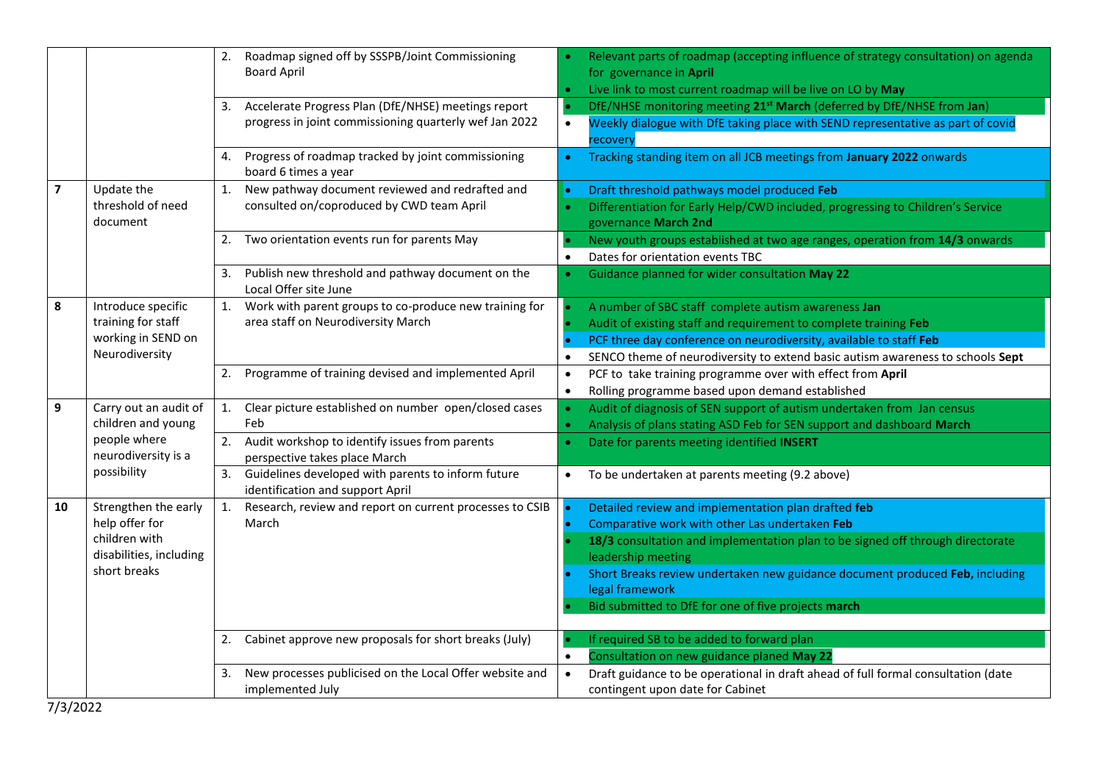|                         |                                                                                                    | 2.             | Roadmap signed off by SSSPB/Joint Commissioning<br><b>Board April</b>                                         |                        | Relevant parts of roadmap (accepting influence of strategy consultation) on agenda<br>for governance in April<br>Live link to most current roadmap will be live on LO by May                                                                                                                                                                                            |
|-------------------------|----------------------------------------------------------------------------------------------------|----------------|---------------------------------------------------------------------------------------------------------------|------------------------|-------------------------------------------------------------------------------------------------------------------------------------------------------------------------------------------------------------------------------------------------------------------------------------------------------------------------------------------------------------------------|
|                         |                                                                                                    | 3.             | Accelerate Progress Plan (DfE/NHSE) meetings report<br>progress in joint commissioning quarterly wef Jan 2022 | $\bullet$              | DfE/NHSE monitoring meeting 21 <sup>st</sup> March (deferred by DfE/NHSE from Jan)<br>Weekly dialogue with DfE taking place with SEND representative as part of covid<br>recovery                                                                                                                                                                                       |
|                         |                                                                                                    | 4.             | Progress of roadmap tracked by joint commissioning<br>board 6 times a year                                    | $\bullet$              | Tracking standing item on all JCB meetings from January 2022 onwards                                                                                                                                                                                                                                                                                                    |
| $\overline{\mathbf{z}}$ | Update the<br>threshold of need<br>document                                                        | 1.             | New pathway document reviewed and redrafted and<br>consulted on/coproduced by CWD team April                  |                        | Draft threshold pathways model produced Feb<br>Differentiation for Early Help/CWD included, progressing to Children's Service<br>governance March 2nd                                                                                                                                                                                                                   |
|                         |                                                                                                    |                | Two orientation events run for parents May                                                                    | $\bullet$              | New youth groups established at two age ranges, operation from 14/3 onwards<br>Dates for orientation events TBC                                                                                                                                                                                                                                                         |
|                         |                                                                                                    | 3.             | Publish new threshold and pathway document on the<br>Local Offer site June                                    |                        | Guidance planned for wider consultation May 22                                                                                                                                                                                                                                                                                                                          |
| 8                       | Introduce specific<br>training for staff<br>working in SEND on<br>Neurodiversity                   | $\mathbf{1}$ . | Work with parent groups to co-produce new training for<br>area staff on Neurodiversity March                  | $\bullet$              | A number of SBC staff complete autism awareness Jan<br>Audit of existing staff and requirement to complete training Feb<br>PCF three day conference on neurodiversity, available to staff Feb<br>SENCO theme of neurodiversity to extend basic autism awareness to schools Sept                                                                                         |
|                         |                                                                                                    | 2.             | Programme of training devised and implemented April                                                           | $\bullet$<br>$\bullet$ | PCF to take training programme over with effect from April<br>Rolling programme based upon demand established                                                                                                                                                                                                                                                           |
| 9                       | Carry out an audit of<br>children and young                                                        | 1.             | Clear picture established on number open/closed cases<br>Feb                                                  |                        | Audit of diagnosis of SEN support of autism undertaken from Jan census<br>Analysis of plans stating ASD Feb for SEN support and dashboard March                                                                                                                                                                                                                         |
|                         | people where<br>neurodiversity is a<br>possibility                                                 | 2.             | Audit workshop to identify issues from parents<br>perspective takes place March                               |                        | Date for parents meeting identified INSERT                                                                                                                                                                                                                                                                                                                              |
|                         |                                                                                                    | 3.             | Guidelines developed with parents to inform future<br>identification and support April                        | $\bullet$              | To be undertaken at parents meeting (9.2 above)                                                                                                                                                                                                                                                                                                                         |
| 10                      | Strengthen the early<br>help offer for<br>children with<br>disabilities, including<br>short breaks | 1.             | Research, review and report on current processes to CSIB<br>March                                             |                        | Detailed review and implementation plan drafted feb<br>Comparative work with other Las undertaken Feb<br>18/3 consultation and implementation plan to be signed off through directorate<br>leadership meeting<br>Short Breaks review undertaken new guidance document produced Feb, including<br>legal framework<br>Bid submitted to DfE for one of five projects march |
|                         |                                                                                                    | 2.             | Cabinet approve new proposals for short breaks (July)                                                         | $\bullet$              | If required SB to be added to forward plan<br>Consultation on new guidance planed May 22                                                                                                                                                                                                                                                                                |
|                         |                                                                                                    | 3.             | New processes publicised on the Local Offer website and<br>implemented July                                   |                        | Draft guidance to be operational in draft ahead of full formal consultation (date<br>contingent upon date for Cabinet                                                                                                                                                                                                                                                   |

7/3/2022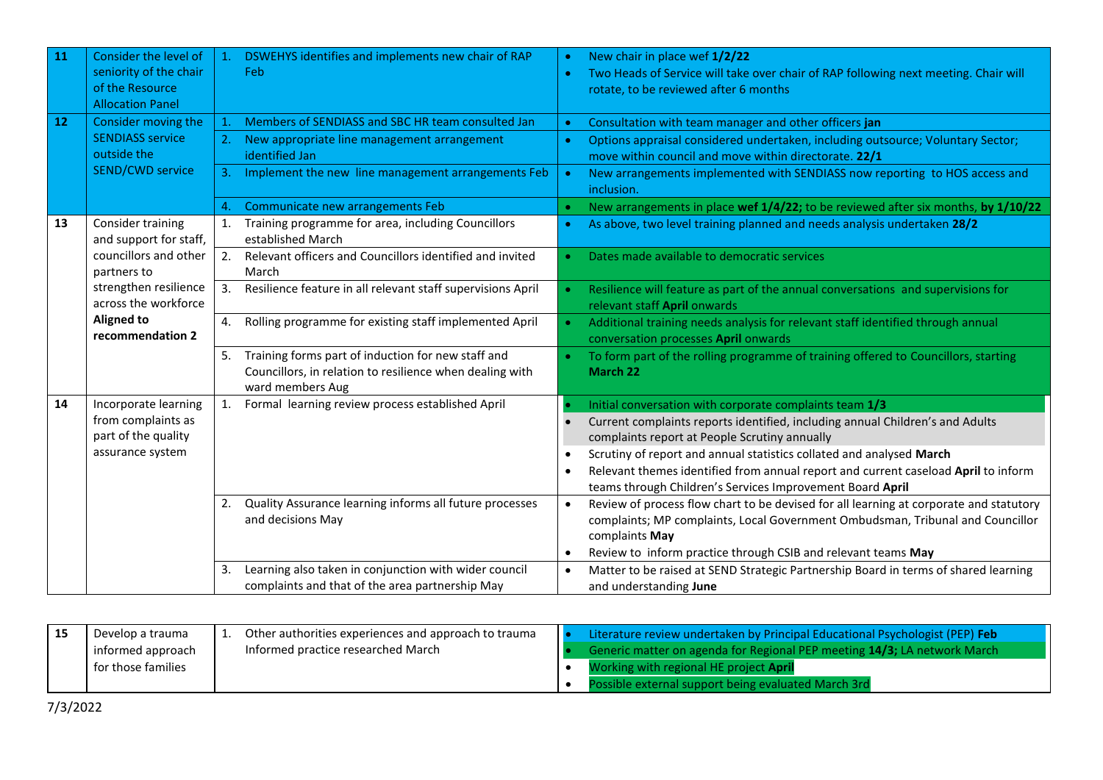| 11 | Consider the level of                                                                                                                                                         | $\mathbf{1}$ . | DSWEHYS identifies and implements new chair of RAP                           |           | New chair in place wef 1/2/22                                                                                                                   |
|----|-------------------------------------------------------------------------------------------------------------------------------------------------------------------------------|----------------|------------------------------------------------------------------------------|-----------|-------------------------------------------------------------------------------------------------------------------------------------------------|
|    | seniority of the chair                                                                                                                                                        |                | Feb                                                                          |           | Two Heads of Service will take over chair of RAP following next meeting. Chair will                                                             |
|    | of the Resource                                                                                                                                                               |                |                                                                              |           | rotate, to be reviewed after 6 months                                                                                                           |
|    | <b>Allocation Panel</b>                                                                                                                                                       |                |                                                                              |           |                                                                                                                                                 |
| 12 | Consider moving the                                                                                                                                                           | $\mathbf{1}$ . | Members of SENDIASS and SBC HR team consulted Jan                            |           | Consultation with team manager and other officers jan                                                                                           |
|    | <b>SENDIASS service</b>                                                                                                                                                       |                | New appropriate line management arrangement                                  | $\bullet$ | Options appraisal considered undertaken, including outsource; Voluntary Sector;                                                                 |
|    | outside the<br><b>SEND/CWD service</b>                                                                                                                                        |                | identified Jan                                                               |           | move within council and move within directorate. 22/1                                                                                           |
|    |                                                                                                                                                                               | 3.             | Implement the new line management arrangements Feb                           |           | New arrangements implemented with SENDIASS now reporting to HOS access and<br>inclusion.                                                        |
|    |                                                                                                                                                                               | 4.             | Communicate new arrangements Feb                                             |           | New arrangements in place wef 1/4/22; to be reviewed after six months, by 1/10/22                                                               |
| 13 | Consider training<br>and support for staff,<br>councillors and other<br>partners to<br>strengthen resilience<br>across the workforce<br><b>Aligned to</b><br>recommendation 2 | 1.             | Training programme for area, including Councillors<br>established March      |           | As above, two level training planned and needs analysis undertaken 28/2                                                                         |
|    |                                                                                                                                                                               | 2.             | Relevant officers and Councillors identified and invited<br>March            |           | Dates made available to democratic services                                                                                                     |
|    |                                                                                                                                                                               | 3.             | Resilience feature in all relevant staff supervisions April                  |           | Resilience will feature as part of the annual conversations and supervisions for<br>relevant staff April onwards                                |
|    |                                                                                                                                                                               | 4.             | Rolling programme for existing staff implemented April                       |           | Additional training needs analysis for relevant staff identified through annual<br>conversation processes April onwards                         |
|    |                                                                                                                                                                               | 5.             | Training forms part of induction for new staff and                           |           | To form part of the rolling programme of training offered to Councillors, starting                                                              |
|    |                                                                                                                                                                               |                | Councillors, in relation to resilience when dealing with<br>ward members Aug |           | March 22                                                                                                                                        |
| 14 | Incorporate learning                                                                                                                                                          | 1.             | Formal learning review process established April                             |           | Initial conversation with corporate complaints team 1/3                                                                                         |
|    | from complaints as                                                                                                                                                            |                |                                                                              |           | Current complaints reports identified, including annual Children's and Adults                                                                   |
|    | part of the quality<br>assurance system                                                                                                                                       |                |                                                                              |           | complaints report at People Scrutiny annually                                                                                                   |
|    |                                                                                                                                                                               |                |                                                                              |           | Scrutiny of report and annual statistics collated and analysed March                                                                            |
|    |                                                                                                                                                                               |                |                                                                              |           | Relevant themes identified from annual report and current caseload April to inform<br>teams through Children's Services Improvement Board April |
|    |                                                                                                                                                                               | 2.             | Quality Assurance learning informs all future processes                      |           | Review of process flow chart to be devised for all learning at corporate and statutory                                                          |
|    |                                                                                                                                                                               |                | and decisions May                                                            |           | complaints; MP complaints, Local Government Ombudsman, Tribunal and Councillor                                                                  |
|    |                                                                                                                                                                               |                |                                                                              |           | complaints May                                                                                                                                  |
|    |                                                                                                                                                                               |                |                                                                              | $\bullet$ | Review to inform practice through CSIB and relevant teams May                                                                                   |
|    |                                                                                                                                                                               | 3.             | Learning also taken in conjunction with wider council                        |           | Matter to be raised at SEND Strategic Partnership Board in terms of shared learning                                                             |
|    |                                                                                                                                                                               |                | complaints and that of the area partnership May                              |           | and understanding June                                                                                                                          |

| Develop a trauma   | Other authorities experiences and approach to trauma | Literature review undertaken by Principal Educational Psychologist (PEP) Feb |
|--------------------|------------------------------------------------------|------------------------------------------------------------------------------|
| informed approach  | Informed practice researched March                   | Generic matter on agenda for Regional PEP meeting 14/3; LA network March     |
| for those families |                                                      | Working with regional HE project <b>April</b>                                |
|                    |                                                      | Possible external support being evaluated March 3rd                          |